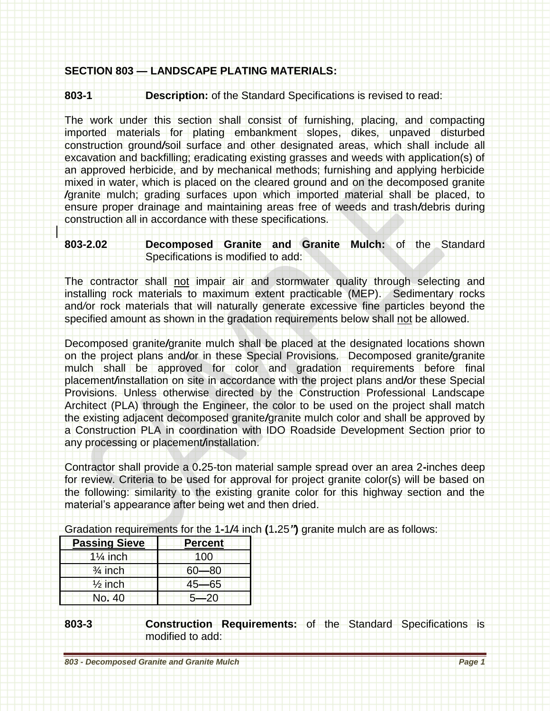## **SECTION 803 — LANDSCAPE PLATING MATERIALS:**

**803-1 Description:** of the Standard Specifications is revised to read:

The work under this section shall consist of furnishing, placing, and compacting imported materials for plating embankment slopes, dikes, unpaved disturbed construction ground*/*soil surface and other designated areas, which shall include all excavation and backfilling; eradicating existing grasses and weeds with application(s) of an approved herbicide, and by mechanical methods; furnishing and applying herbicide mixed in water, which is placed on the cleared ground and on the decomposed granite */*granite mulch; grading surfaces upon which imported material shall be placed, to ensure proper drainage and maintaining areas free of weeds and trash*/*debris during construction all in accordance with these specifications.

## **803-2.02 Decomposed Granite and Granite Mulch:** of the Standard Specifications is modified to add:

The contractor shall not impair air and stormwater quality through selecting and installing rock materials to maximum extent practicable (MEP). Sedimentary rocks and*/*or rock materials that will naturally generate excessive fine particles beyond the specified amount as shown in the gradation requirements below shall not be allowed.

Decomposed granite*/*granite mulch shall be placed at the designated locations shown on the project plans and*/*or in these Special Provisions. Decomposed granite*/*granite mulch shall be approved for color and gradation requirements before final placement*/*installation on site in accordance with the project plans and*/*or these Special Provisions. Unless otherwise directed by the Construction Professional Landscape Architect (PLA) through the Engineer, the color to be used on the project shall match the existing adjacent decomposed granite*/*granite mulch color and shall be approved by a Construction PLA in coordination with IDO Roadside Development Section prior to any processing or placement*/*installation.

Contractor shall provide a 0**.**25-ton material sample spread over an area 2**-**inches deep for review. Criteria to be used for approval for project granite color(s) will be based on the following: similarity to the existing granite color for this highway section and the material's appearance after being wet and then dried.

Gradation requirements for the 1**-**1*/*4 inch **(**1**.**25*"***)** granite mulch are as follows:

| <b>Passing Sieve</b> | <b>Percent</b> |
|----------------------|----------------|
| $1\frac{1}{4}$ inch  | 100            |
| $\frac{3}{4}$ inch   | -80            |
| $\frac{1}{2}$ inch   | $45 - 65$      |
| No. 40               | $5 - 20$       |

## **803-3 Construction Requirements:** of the Standard Specifications is modified to add: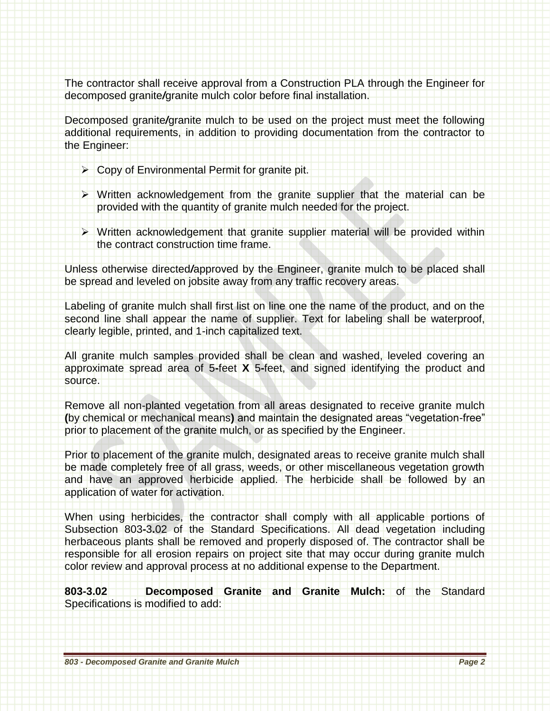The contractor shall receive approval from a Construction PLA through the Engineer for decomposed granite*/*granite mulch color before final installation.

Decomposed granite*/*granite mulch to be used on the project must meet the following additional requirements, in addition to providing documentation from the contractor to the Engineer:

- ▶ Copy of Environmental Permit for granite pit.
- $\triangleright$  Written acknowledgement from the granite supplier that the material can be provided with the quantity of granite mulch needed for the project.
- Written acknowledgement that granite supplier material will be provided within the contract construction time frame.

Unless otherwise directed*/*approved by the Engineer, granite mulch to be placed shall be spread and leveled on jobsite away from any traffic recovery areas.

Labeling of granite mulch shall first list on line one the name of the product, and on the second line shall appear the name of supplier. Text for labeling shall be waterproof, clearly legible, printed, and 1-inch capitalized text.

All granite mulch samples provided shall be clean and washed, leveled covering an approximate spread area of 5**-**feet **X** 5**-**feet, and signed identifying the product and source.

Remove all non-planted vegetation from all areas designated to receive granite mulch **(**by chemical or mechanical means**)** and maintain the designated areas "vegetation-free" prior to placement of the granite mulch, or as specified by the Engineer.

Prior to placement of the granite mulch, designated areas to receive granite mulch shall be made completely free of all grass, weeds, or other miscellaneous vegetation growth and have an approved herbicide applied. The herbicide shall be followed by an application of water for activation.

When using herbicides, the contractor shall comply with all applicable portions of Subsection 803**-**3**.**02 of the Standard Specifications. All dead vegetation including herbaceous plants shall be removed and properly disposed of. The contractor shall be responsible for all erosion repairs on project site that may occur during granite mulch color review and approval process at no additional expense to the Department.

**803-3.02 Decomposed Granite and Granite Mulch:** of the Standard Specifications is modified to add: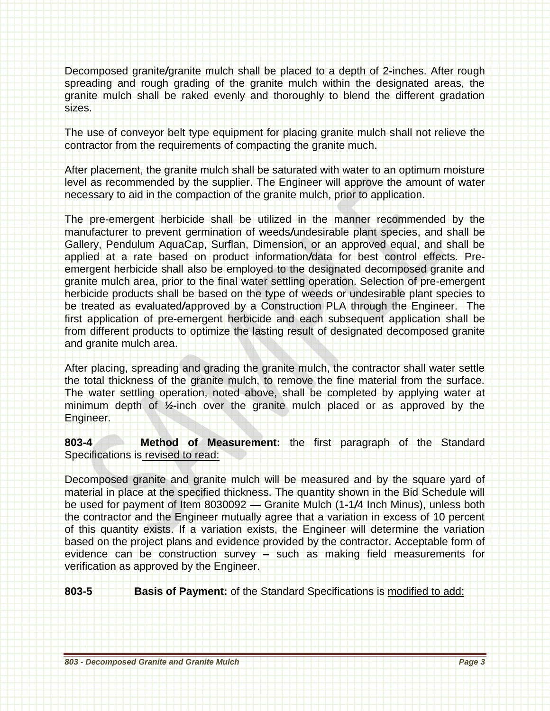Decomposed granite*/*granite mulch shall be placed to a depth of 2**-**inches. After rough spreading and rough grading of the granite mulch within the designated areas, the granite mulch shall be raked evenly and thoroughly to blend the different gradation sizes.

The use of conveyor belt type equipment for placing granite mulch shall not relieve the contractor from the requirements of compacting the granite much.

After placement, the granite mulch shall be saturated with water to an optimum moisture level as recommended by the supplier. The Engineer will approve the amount of water necessary to aid in the compaction of the granite mulch, prior to application.

The pre-emergent herbicide shall be utilized in the manner recommended by the manufacturer to prevent germination of weeds*/*undesirable plant species, and shall be Gallery, Pendulum AquaCap, Surflan, Dimension, or an approved equal, and shall be applied at a rate based on product information*/*data for best control effects. Preemergent herbicide shall also be employed to the designated decomposed granite and granite mulch area, prior to the final water settling operation. Selection of pre-emergent herbicide products shall be based on the type of weeds or undesirable plant species to be treated as evaluated*/*approved by a Construction PLA through the Engineer. The first application of pre-emergent herbicide and each subsequent application shall be from different products to optimize the lasting result of designated decomposed granite and granite mulch area.

After placing, spreading and grading the granite mulch, the contractor shall water settle the total thickness of the granite mulch, to remove the fine material from the surface. The water settling operation, noted above, shall be completed by applying water at minimum depth of *½***-**inch over the granite mulch placed or as approved by the Engineer.

**803-4 Method of Measurement:** the first paragraph of the Standard Specifications is revised to read:

Decomposed granite and granite mulch will be measured and by the square yard of material in place at the specified thickness. The quantity shown in the Bid Schedule will be used for payment of Item 8030092 **—** Granite Mulch (1**-**1*/*4 Inch Minus), unless both the contractor and the Engineer mutually agree that a variation in excess of 10 percent of this quantity exists. If a variation exists, the Engineer will determine the variation based on the project plans and evidence provided by the contractor. Acceptable form of evidence can be construction survey **–** such as making field measurements for verification as approved by the Engineer.

**803-5 Basis of Payment:** of the Standard Specifications is modified to add: